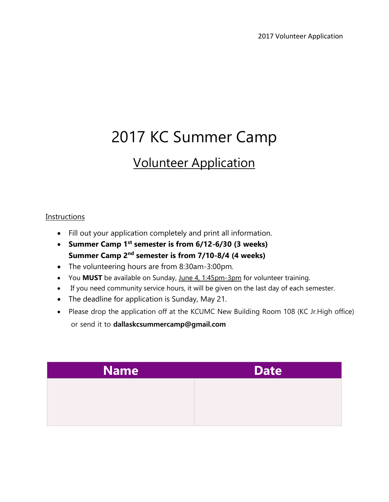## 2017 KC Summer Camp

## Volunteer Application

## **Instructions**

- Fill out your application completely and print all information.
- **Summer Camp 1 st semester is from 6/12-6/30 (3 weeks) Summer Camp 2 nd semester is from 7/10-8/4 (4 weeks)**
- The volunteering hours are from 8:30am-3:00pm.
- You **MUST** be available on Sunday, June 4, 1:45pm-3pm for volunteer training.
- If you need community service hours, it will be given on the last day of each semester.
- The deadline for application is Sunday, May 21.
- Please drop the application off at the KCUMC New Building Room 108 (KC Jr. High office)

or send it to **dallaskcsummercamp@gmail.com**

| <b>Name</b> | <b>Date</b> |
|-------------|-------------|
|             |             |
|             |             |
|             |             |